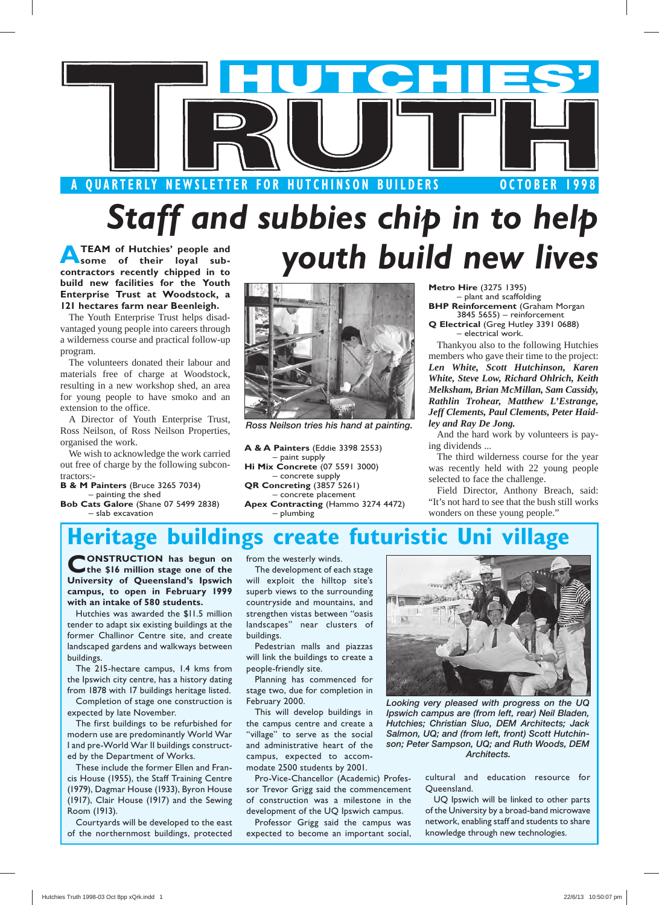

# *Staff and subbies chip in to help youth build new lives*

**ATEAM of Hutchies' people and some of their loyal subcontractors recently chipped in to build new facilities for the Youth Enterprise Trust at Woodstock, a 121 hectares farm near Beenleigh.**

The Youth Enterprise Trust helps disadvantaged young people into careers through a wilderness course and practical follow-up program.

The volunteers donated their labour and materials free of charge at Woodstock, resulting in a new workshop shed, an area for young people to have smoko and an extension to the office.

A Director of Youth Enterprise Trust, Ross Neilson, of Ross Neilson Properties, organised the work.

We wish to acknowledge the work carried out free of charge by the following subcontractors:

**B & M Painters** (Bruce 3265 7034) – painting the shed

**Bob Cats Galore** (Shane 07 5499 2838) – slab excavation



*Ross Neilson tries his hand at painting.*

**A & A Painters** (Eddie 3398 2553) – paint supply **Hi Mix Concrete** (07 5591 3000) – concrete supply **QR Concreting** (3857 5261) – concrete placement **Apex Contracting** (Hammo 3274 4472) – plumbing

**Metro Hire** (3275 1395) – plant and scaffolding **BHP Reinforcement** (Graham Morgan

3845 5655) – reinforcement **Q Electrical** (Greg Hutley 3391 0688) – electrical work.

Thankyou also to the following Hutchies members who gave their time to the project: *Len White, Scott Hutchinson, Karen White, Steve Low, Richard Ohlrich, Keith Melksham, Brian McMillan, Sam Cassidy, Rathlin Trohear, Matthew L'Estrange, Jeff Clements, Paul Clements, Peter Haidley and Ray De Jong.*

And the hard work by volunteers is paying dividends ...

The third wilderness course for the year was recently held with 22 young people selected to face the challenge.

Field Director, Anthony Breach, said: "It's not hard to see that the bush still works wonders on these young people."

### **Heritage buildings create futuristic**

**CONSTRUCTION** has begun on **the \$16 million stage one of the University of Queensland's Ipswich campus, to open in February 1999 with an intake of 580 students.**

Hutchies was awarded the \$11.5 million tender to adapt six existing buildings at the former Challinor Centre site, and create landscaped gardens and walkways between buildings.

The 215-hectare campus, 1.4 kms from the Ipswich city centre, has a history dating from 1878 with 17 buildings heritage listed.

Completion of stage one construction is expected by late November.

The first buildings to be refurbished for modern use are predominantly World War I and pre-World War II buildings constructed by the Department of Works.

These include the former Ellen and Francis House (1955), the Staff Training Centre (1979), Dagmar House (1933), Byron House (1917), Clair House (1917) and the Sewing Room (1913).

Courtyards will be developed to the east of the northernmost buildings, protected

from the westerly winds.

The development of each stage will exploit the hilltop site's superb views to the surrounding countryside and mountains, and strengthen vistas between "oasis landscapes" near clusters of buildings.

Pedestrian malls and piazzas will link the buildings to create a people-friendly site.

Planning has commenced for stage two, due for completion in February 2000.

This will develop buildings in the campus centre and create a "village" to serve as the social and administrative heart of the campus, expected to accommodate 2500 students by 2001.

Pro-Vice-Chancellor (Academic) Professor Trevor Grigg said the commencement of construction was a milestone in the development of the UQ Ipswich campus.

Professor Grigg said the campus was expected to become an important social,



*Looking very pleased with progress on the UQ Ipswich campus are (from left, rear) Neil Bladen, Hutchies; Christian Sluo, DEM Architects; Jack Salmon, UQ; and (from left, front) Scott Hutchinson; Peter Sampson, UQ; and Ruth Woods, DEM Architects.*

> cultural and education resource for Queensland.

UQ Ipswich will be linked to other parts of the University by a broad-band microwave network, enabling staff and students to share knowledge through new technologies.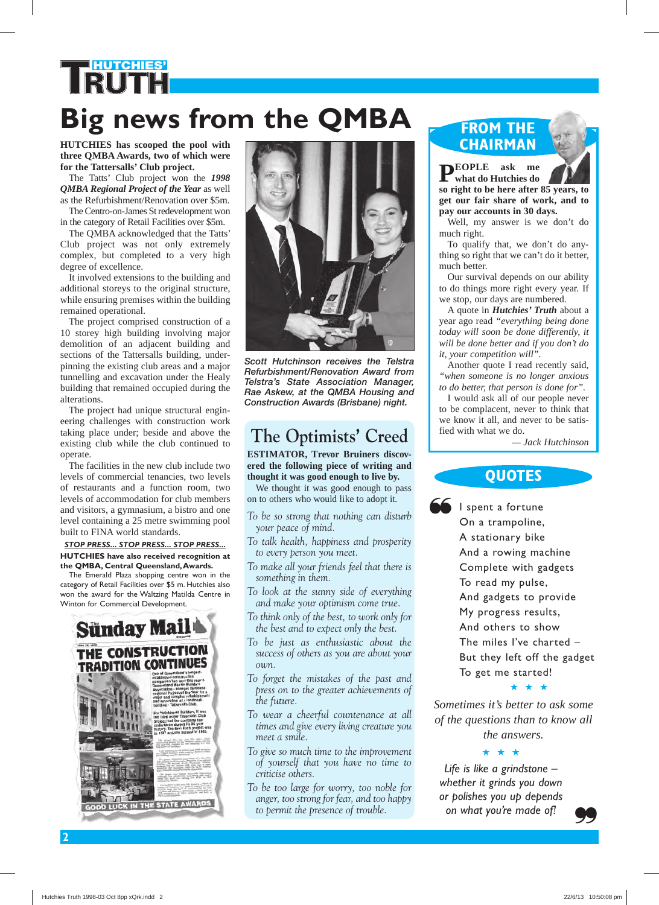# **HUTCHIES' Big news from the QMBA**

**HUTCHIES has scooped the pool with three QMBA Awards, two of which were for the Tattersalls' Club project.**

The Tatts' Club project won the *1998 QMBA Regional Project of the Year* as well as the Refurbishment/Renovation over \$5m. The Centro-on-James St redevelopment won

in the category of Retail Facilities over \$5m. The QMBA acknowledged that the Tatts'

Club project was not only extremely complex, but completed to a very high degree of excellence.

It involved extensions to the building and additional storeys to the original structure, while ensuring premises within the building remained operational.

The project comprised construction of a 10 storey high building involving major demolition of an adjacent building and sections of the Tattersalls building, underpinning the existing club areas and a major tunnelling and excavation under the Healy building that remained occupied during the alterations.

The project had unique structural engineering challenges with construction work taking place under; beside and above the existing club while the club continued to operate.

The facilities in the new club include two levels of commercial tenancies, two levels of restaurants and a function room, two levels of accommodation for club members and visitors, a gymnasium, a bistro and one level containing a 25 metre swimming pool built to FINA world standards.

#### *STOP PRESS... STOP PRESS... STOP PRESS...* **HUTCHIES have also received recognition at the QMBA, Central Queensland, Awards.**

The Emerald Plaza shopping centre won in the category of Retail Facilities over \$5 m. Hutchies also won the award for the Waltzing Matilda Centre in Winton for Commercial Development.





*Scott Hutchinson receives the Telstra Refurbishment/Renovation Award from Telstra's State Association Manager, Rae Askew, at the QMBA Housing and Construction Awards (Brisbane) night.*

### **The Optimists' Creed**

**ESTIMATOR, Trevor Bruiners discovered the following piece of writing and thought it was good enough to live by.**

We thought it was good enough to pass on to others who would like to adopt it.

- *To be so strong that nothing can disturb your peace of mind.*
- *To talk health, happiness and prosperity to every person you meet.*
- *To make all your friends feel that there is something in them.*
- *To look at the sunny side of everything and make your optimism come true.*

*To think only of the best, to work only for the best and to expect only the best.*

- *To be just as enthusiastic about the success of others as you are about your own.*
- *To forget the mistakes of the past and press on to the greater achievements of the future.*
- *To wear a cheerful countenance at all times and give every living creature you meet a smile.*
- *To give so much time to the improvement of yourself that you have no time to criticise others.*
- *To be too large for worry, too noble for anger, too strong for fear, and too happy to permit the presence of trouble.*

#### **FROM THE CHAIRMAN**



**PEOPLE ask me what do Hutchies do so right to be here after 85 years, to get our fair share of work, and to pay our accounts in 30 days.**

Well, my answer is we don't do much right.

To qualify that, we don't do anything so right that we can't do it better, much better.

Our survival depends on our ability to do things more right every year. If we stop, our days are numbered.

A quote in *Hutchies' Truth* about a year ago read *"everything being done today will soon be done differently, it will be done better and if you don't do it, your competition will".*

Another quote I read recently said, *"when someone is no longer anxious to do better, that person is done for".*

I would ask all of our people never to be complacent, never to think that we know it all, and never to be satisfied with what we do.

 *— Jack Hutchinson*

#### **QUOTES**

❝

I spent a fortune On a trampoline, A stationary bike And a rowing machine Complete with gadgets To read my pulse, And gadgets to provide My progress results, And others to show The miles I've charted – But they left off the gadget To get me started!

#### ★ ★ ★

*Sometimes it's better to ask some of the questions than to know all the answers.*

#### ★ ★ ★

*Life is like a grindstone – whether it grinds you down or polishes you up depends on what you're made of!*

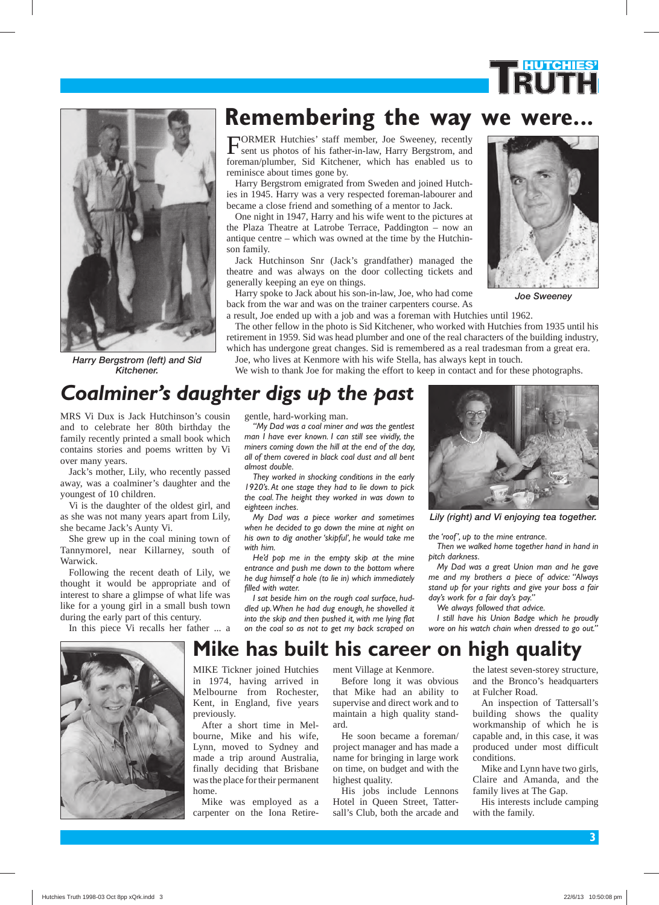



*Harry Bergstrom (left) and Sid Kitchener.*

### **Remembering the way we were...**

FORMER Hutchies' staff member, Joe Sweeney, recently sent us photos of his father-in-law, Harry Bergstrom, and foreman/plumber, Sid Kitchener, which has enabled us to reminisce about times gone by.

Harry Bergstrom emigrated from Sweden and joined Hutchies in 1945. Harry was a very respected foreman-labourer and became a close friend and something of a mentor to Jack.

One night in 1947, Harry and his wife went to the pictures at the Plaza Theatre at Latrobe Terrace, Paddington – now an antique centre – which was owned at the time by the Hutchinson family.

Jack Hutchinson Snr (Jack's grandfather) managed the theatre and was always on the door collecting tickets and generally keeping an eye on things.

Harry spoke to Jack about his son-in-law, Joe, who had come back from the war and was on the trainer carpenters course. As

a result, Joe ended up with a job and was a foreman with Hutchies until 1962. The other fellow in the photo is Sid Kitchener, who worked with Hutchies from 1935 until his

retirement in 1959. Sid was head plumber and one of the real characters of the building industry, which has undergone great changes. Sid is remembered as a real tradesman from a great era.

Joe, who lives at Kenmore with his wife Stella, has always kept in touch.

We wish to thank Joe for making the effort to keep in contact and for these photographs.



*Joe Sweeney*

### *Coalminer's daughter digs up the past*

MRS Vi Dux is Jack Hutchinson's cousin and to celebrate her 80th birthday the family recently printed a small book which contains stories and poems written by Vi over many years.

Jack's mother, Lily, who recently passed away, was a coalminer's daughter and the youngest of 10 children.

Vi is the daughter of the oldest girl, and as she was not many years apart from Lily, she became Jack's Aunty Vi.

She grew up in the coal mining town of Tannymorel, near Killarney, south of Warwick.

Following the recent death of Lily, we thought it would be appropriate and of interest to share a glimpse of what life was like for a young girl in a small bush town during the early part of this century.

In this piece Vi recalls her father ... a



gentle, hard-working man.

*"My Dad was a coal miner and was the gentlest man I have ever known. I can still see vividly, the miners coming down the hill at the end of the day, all of them covered in black coal dust and all bent almost double.* 

*They worked in shocking conditions in the early 1920's. At one stage they had to lie down to pick the coal. The height they worked in was down to eighteen inches.*

*My Dad was a piece worker and sometimes when he decided to go down the mine at night on his own to dig another 'skipful', he would take me with him.* 

*He'd pop me in the empty skip at the mine entrance and push me down to the bottom where he dug himself a hole (to lie in) which immediately filled with water.* 

*I sat beside him on the rough coal surface, huddled up. When he had dug enough, he shovelled it into the skip and then pushed it, with me lying flat on the coal so as not to get my back scraped on* 



*Lily (right) and Vi enjoying tea together.*

*the 'roof', up to the mine entrance.* 

*Then we walked home together hand in hand in pitch darkness.*

*My Dad was a great Union man and he gave me and my brothers a piece of advice: "Always stand up for your rights and give your boss a fair day's work for a fair day's pay."* 

*We always followed that advice.* 

*I still have his Union Badge which he proudly wore on his watch chain when dressed to go out."*

### **Mike has built his career on high quality**

MIKE Tickner joined Hutchies in 1974, having arrived in Melbourne from Rochester, Kent, in England, five years previously.

After a short time in Melbourne, Mike and his wife, Lynn, moved to Sydney and made a trip around Australia, finally deciding that Brisbane was the place for their permanent home.

Mike was employed as a carpenter on the Iona Retirement Village at Kenmore.

Before long it was obvious that Mike had an ability to supervise and direct work and to maintain a high quality standard.

He soon became a foreman/ project manager and has made a name for bringing in large work on time, on budget and with the highest quality.

His jobs include Lennons Hotel in Queen Street, Tattersall's Club, both the arcade and the latest seven-storey structure, and the Bronco's headquarters at Fulcher Road.

An inspection of Tattersall's building shows the quality workmanship of which he is capable and, in this case, it was produced under most difficult conditions.

Mike and Lynn have two girls, Claire and Amanda, and the family lives at The Gap.

His interests include camping with the family.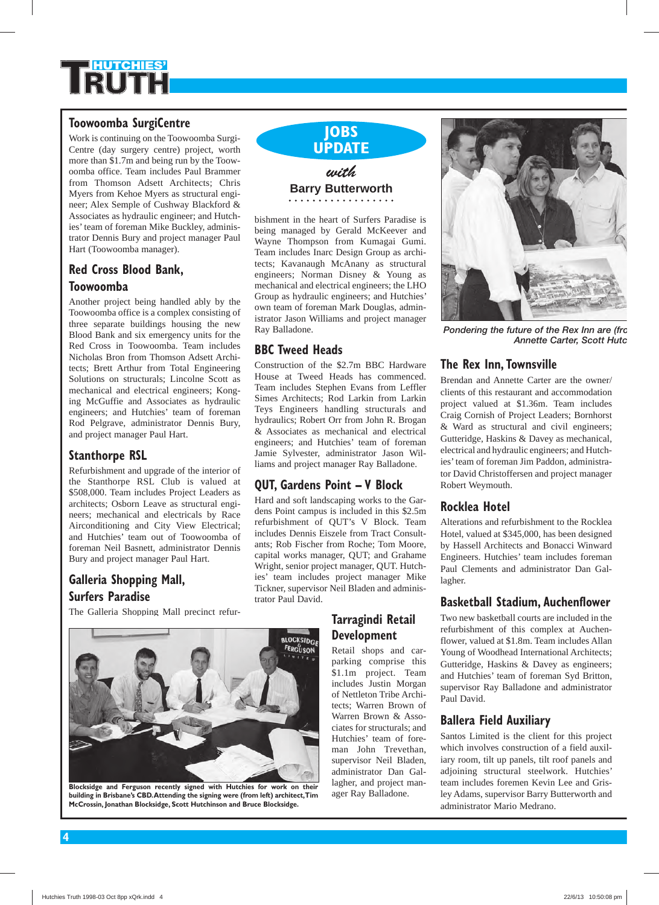

#### **Toowoomba SurgiCentre**

Work is continuing on the Toowoomba Surgi-Centre (day surgery centre) project, worth more than \$1.7m and being run by the Toowoomba office. Team includes Paul Brammer from Thomson Adsett Architects; Chris Myers from Kehoe Myers as structural engineer; Alex Semple of Cushway Blackford & Associates as hydraulic engineer; and Hutchies' team of foreman Mike Buckley, administrator Dennis Bury and project manager Paul Hart (Toowoomba manager).

#### **Red Cross Blood Bank, Toowoomba**

Another project being handled ably by the Toowoomba office is a complex consisting of three separate buildings housing the new Blood Bank and six emergency units for the Red Cross in Toowoomba. Team includes Nicholas Bron from Thomson Adsett Architects; Brett Arthur from Total Engineering Solutions on structurals; Lincolne Scott as mechanical and electrical engineers; Konging McGuffie and Associates as hydraulic engineers; and Hutchies' team of foreman Rod Pelgrave, administrator Dennis Bury, and project manager Paul Hart.

#### **Stanthorpe RSL**

Refurbishment and upgrade of the interior of the Stanthorpe RSL Club is valued at \$508,000. Team includes Project Leaders as architects; Osborn Leave as structural engineers; mechanical and electricals by Race Airconditioning and City View Electrical; and Hutchies' team out of Toowoomba of foreman Neil Basnett, administrator Dennis Bury and project manager Paul Hart.

#### **Galleria Shopping Mall, Surfers Paradise**

The Galleria Shopping Mall precinct refur-



**Blocksidge and Ferguson recently signed with Hutchies for work on their building in Brisbane's CBD. Attending the signing were (from left) architect, Tim McCrossin, Jonathan Blocksidge, Scott Hutchinson and Bruce Blocksidge.**



bishment in the heart of Surfers Paradise is being managed by Gerald McKeever and Wayne Thompson from Kumagai Gumi. Team includes Inarc Design Group as architects; Kavanaugh McAnany as structural engineers; Norman Disney & Young as mechanical and electrical engineers; the LHO Group as hydraulic engineers; and Hutchies' own team of foreman Mark Douglas, administrator Jason Williams and project manager Ray Balladone.

#### **BBC Tweed Heads**

Construction of the \$2.7m BBC Hardware House at Tweed Heads has commenced. Team includes Stephen Evans from Leffler Simes Architects; Rod Larkin from Larkin Teys Engineers handling structurals and hydraulics; Robert Orr from John R. Brogan & Associates as mechanical and electrical engineers; and Hutchies' team of foreman Jamie Sylvester, administrator Jason Williams and project manager Ray Balladone.

#### **QUT, Gardens Point – V Block**

Hard and soft landscaping works to the Gardens Point campus is included in this \$2.5m refurbishment of QUT's V Block. Team includes Dennis Eiszele from Tract Consultants; Rob Fischer from Roche; Tom Moore, capital works manager, QUT; and Grahame Wright, senior project manager, QUT. Hutchies' team includes project manager Mike Tickner, supervisor Neil Bladen and administrator Paul David.

#### **Tarragindi Retail Development**

Retail shops and carparking comprise this \$1.1m project. Team includes Justin Morgan of Nettleton Tribe Architects; Warren Brown of Warren Brown & Associates for structurals; and Hutchies' team of foreman John Trevethan, supervisor Neil Bladen, administrator Dan Gallagher, and project manager Ray Balladone.



*Pondering the future of the Rex Inn are (fro Annette Carter, Scott Hutc*

#### **The Rex Inn, Townsville**

Brendan and Annette Carter are the owner/ clients of this restaurant and accommodation project valued at \$1.36m. Team includes Craig Cornish of Project Leaders; Bornhorst & Ward as structural and civil engineers; Gutteridge, Haskins & Davey as mechanical, electrical and hydraulic engineers; and Hutchies' team of foreman Jim Paddon, administrator David Christoffersen and project manager Robert Weymouth.

#### **Rocklea Hotel**

Alterations and refurbishment to the Rocklea Hotel, valued at \$345,000, has been designed by Hassell Architects and Bonacci Winward Engineers. Hutchies' team includes foreman Paul Clements and administrator Dan Gallagher.

#### **Basketball Stadium, Auchenflower**

Two new basketball courts are included in the refurbishment of this complex at Auchenflower, valued at \$1.8m. Team includes Allan Young of Woodhead International Architects; Gutteridge, Haskins & Davey as engineers; and Hutchies' team of foreman Syd Britton, supervisor Ray Balladone and administrator Paul David.

#### **Ballera Field Auxiliary**

Santos Limited is the client for this project which involves construction of a field auxiliary room, tilt up panels, tilt roof panels and adjoining structural steelwork. Hutchies' team includes foremen Kevin Lee and Grisley Adams, supervisor Barry Butterworth and administrator Mario Medrano.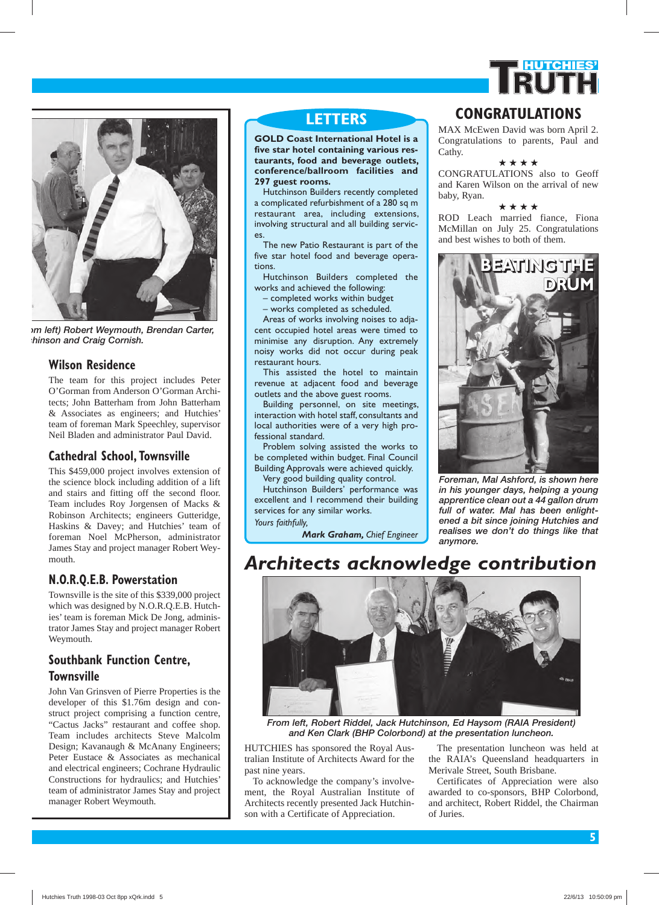



*om left) Robert Weymouth, Brendan Carter, chinson and Craig Cornish.*

#### **Wilson Residence**

The team for this project includes Peter O'Gorman from Anderson O'Gorman Architects; John Batterham from John Batterham & Associates as engineers; and Hutchies' team of foreman Mark Speechley, supervisor Neil Bladen and administrator Paul David.

#### **Cathedral School, Townsville**

This \$459,000 project involves extension of the science block including addition of a lift and stairs and fitting off the second floor. Team includes Roy Jorgensen of Macks & Robinson Architects; engineers Gutteridge, Haskins & Davey; and Hutchies' team of foreman Noel McPherson, administrator James Stay and project manager Robert Weymouth.

#### **N.O.R.Q.E.B. Powerstation**

Townsville is the site of this \$339,000 project which was designed by N.O.R.Q.E.B. Hutchies' team is foreman Mick De Jong, administrator James Stay and project manager Robert Weymouth.

#### **Southbank Function Centre, Townsville**

John Van Grinsven of Pierre Properties is the developer of this \$1.76m design and construct project comprising a function centre, "Cactus Jacks" restaurant and coffee shop. Team includes architects Steve Malcolm Design; Kavanaugh & McAnany Engineers; Peter Eustace & Associates as mechanical and electrical engineers; Cochrane Hydraulic Constructions for hydraulics; and Hutchies' team of administrator James Stay and project manager Robert Weymouth.

**GOLD Coast International Hotel is a five star hotel containing various restaurants, food and beverage outlets, confer ence/ball room facilities and 297 guest rooms.**

Hutchinson Builders recently completed a complicated refurbishment of a 280 sq m restaurant area, including extensions, involving structural and all building services.

The new Patio Restaurant is part of the five star hotel food and beverage operations.

Hutchinson Builders completed the works and achieved the following:

– completed works within budget

– works completed as scheduled.

Areas of works involving noises to adjacent occupied hotel areas were timed to minimise any disruption. Any extremely noisy works did not occur during peak restaurant hours.

This assisted the hotel to maintain revenue at adjacent food and beverage outlets and the above guest rooms.

Building personnel, on site meetings, interaction with hotel staff, consultants and local authorities were of a very high professional standard.

Problem solving assisted the works to be completed within budget. Final Council Building Approvals were achieved quickly. Very good building quality control.

Hutchinson Builders' performance was excellent and I recommend their building services for any similar works. *Yours faithfully,*

*Mark Graham, Chief Engineer*

### **LETTERS CONGRATULATIONS**

MAX McEwen David was born April 2. Congratulations to parents, Paul and Cathy.

★ ★ ★ ★

CONGRATULATIONS also to Geoff and Karen Wilson on the arrival of new baby, Ryan.

★ ★ ★ ★

ROD Leach married fiance, Fiona McMillan on July 25. Congratulations and best wishes to both of them.



*Foreman, Mal Ashford, is shown here in his younger days, helping a young apprentice clean out a 44 gallon drum full of water. Mal has been enlightened a bit since joining Hutchies and realises we don't do things like that anymore.*

### *Architects acknowledge contribution*



*From left, Robert Riddel, Jack Hutchinson, Ed Haysom (RAIA President) and Ken Clark (BHP Colorbond) at the presentation luncheon.*

HUTCHIES has sponsored the Royal Australian Institute of Architects Award for the past nine years.

To acknowledge the company's involvement, the Royal Australian Institute of Architects recently presented Jack Hutchinson with a Certificate of Appreciation.

The presentation luncheon was held at the RAIA's Queensland headquarters in Merivale Street, South Brisbane.

Certificates of Appreciation were also awarded to co-sponsors, BHP Colorbond, and architect, Robert Riddel, the Chairman of Juries.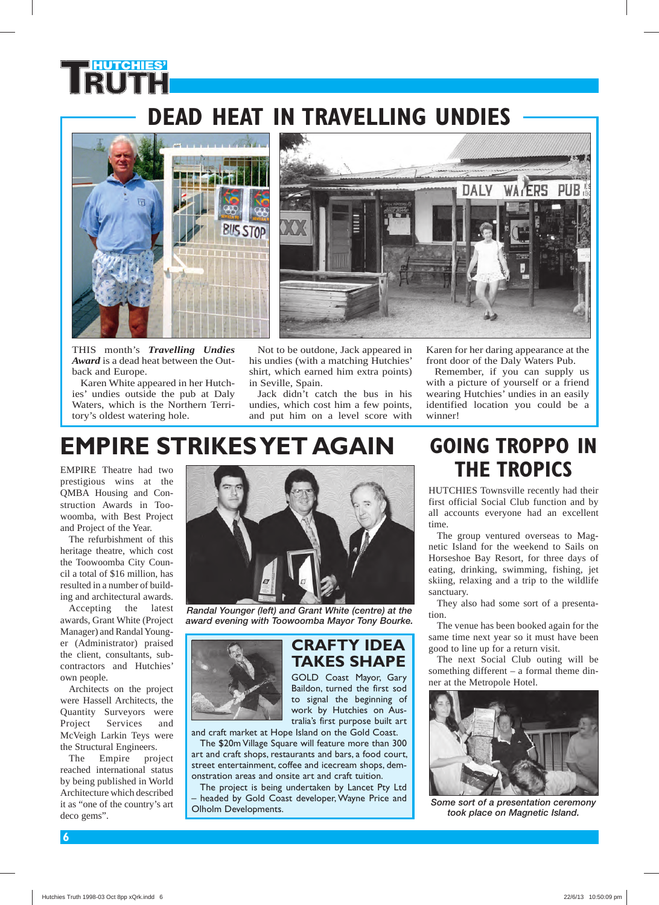### **DEAD HEAT IN TRAVELLING UNDIES**



**HUTCHIES'**

THIS month's *Travelling Undies Award* is a dead heat between the Outback and Europe.

Karen White appeared in her Hutchies' undies outside the pub at Daly Waters, which is the Northern Territory's oldest watering hole.



Not to be outdone, Jack appeared in his undies (with a matching Hutchies' shirt, which earned him extra points) in Seville, Spain.

Jack didn't catch the bus in his undies, which cost him a few points, and put him on a level score with

Karen for her daring appearance at the front door of the Daly Waters Pub.

Remember, if you can supply us with a picture of yourself or a friend wearing Hutchies' undies in an easily identified location you could be a winner!

### **EMPIRE STRIKES YET AGAIN**

EMPIRE Theatre had two prestigious wins at the QMBA Housing and Construction Awards in Toowoomba, with Best Project and Project of the Year.

The refurbishment of this heritage theatre, which cost the Toowoomba City Council a total of \$16 million, has resulted in a number of building and architectural awards.

Accepting the latest awards, Grant White (Project Manager) and Randal Younger (Administrator) praised the client, consultants, subcontractors and Hutchies' own people.

Architects on the project were Hassell Architects, the Quantity Surveyors were Project Services and McVeigh Larkin Teys were the Structural Engineers.

The Empire project reached international status by being published in World Architecture which described it as "one of the country's art deco gems".



*Randal Younger (left) and Grant White (centre) at the award evening with Toowoomba Mayor Tony Bourke.*



#### **CRAFTY IDEA TAKES SHAPE** GOLD Coast Mayor, Gary Baildon, turned the first sod

to signal the beginning of work by Hutchies on Australia's first purpose built art

and craft market at Hope Island on the Gold Coast. The \$20m Village Square will feature more than 300 art and craft shops, restaurants and bars, a food court,

street entertainment, coffee and icecream shops, demonstration areas and onsite art and craft tuition.

The project is being undertaken by Lancet Pty Ltd – headed by Gold Coast developer, Wayne Price and Olholm Developments.

### **GOING TROPPO IN THE TROPICS**

HUTCHIES Townsville recently had their first official Social Club function and by all accounts everyone had an excellent time.

The group ventured overseas to Magnetic Island for the weekend to Sails on Horseshoe Bay Resort, for three days of eating, drinking, swimming, fishing, jet skiing, relaxing and a trip to the wildlife sanctuary.

They also had some sort of a presentation.

The venue has been booked again for the same time next year so it must have been good to line up for a return visit.

The next Social Club outing will be something different – a formal theme dinner at the Metropole Hotel.



*Some sort of a presentation ceremony took place on Magnetic Island.*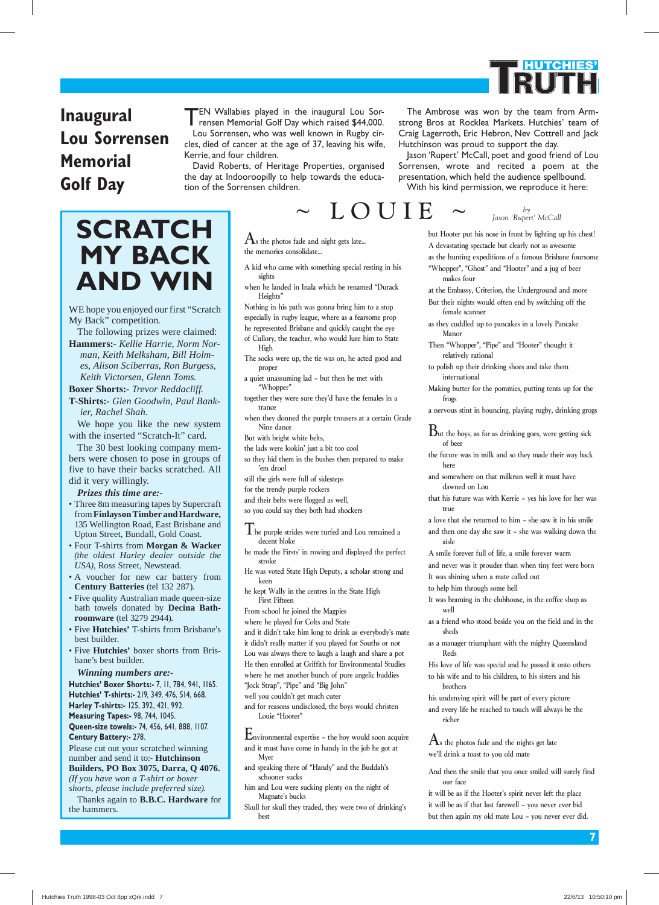# **HUTCHIES'**

### **Inaugural Lou Sorrensen Memorial Golf Day**

## *Jason 'Rupert' McCall* **SCRATCH MY BACK AND WIN**

WE hope you enjoyed our first "Scratch My Back" competition.

The following prizes were claimed: **Hammers:-** *Kellie Harrie, Norm Norman, Keith Melksham, Bill Holmes, Alison Sciberras, Ron Burgess, Keith Victorsen, Glenn Toms.*

**Boxer Shorts:-** *Trevor Reddacliff.* **T-Shirts:-** *Glen Goodwin, Paul Bankier, Rachel Shah.*

We hope you like the new system with the inserted "Scratch-It" card.

The 30 best looking company members were chosen to pose in groups of five to have their backs scratched. All did it very willingly.

*Prizes this time are:-*

- Three 8m measuring tapes by Supercraft from **Finlayson Timber and Hardware,**  135 Wellington Road, East Brisbane and Upton Street, Bundall, Gold Coast.
- Four T-shirts from **Morgan & Wacker**  *(the oldest Harley dealer outside the USA),* Ross Street, Newstead.
- A voucher for new car battery from **Century Batteries** (tel 132 287).
- Five quality Australian made queen-size bath towels donated by **Decina Bathroom ware** (tel 3279 2944).
- Five **Hutchies'** T-shirts from Brisbane's best builder.
- Five **Hutchies'** boxer shorts from Brisbane's best builder.

*Winning numbers are:-*

**Hutchies' Boxer Shorts:-** 7, 11, 784, 941, 1165. **Hutchies' T-shirts:-** 219, 349, 476, 514, 668. **Harley T-shirts:-** 125, 392, 421, 992. **Measuring Tapes:-** 98, 744, 1045. **Queen-size towels:-** 74, 456, 641, 888, 1107.

**Century Battery:-** 278. Please cut out your scratched winning number and send it to:- **Hutchinson Builders, PO Box 3075, Darra, Q 4076.**  *(If you have won a T-shirt or boxer* 

*shorts, please include preferred size).* Thanks again to **B.B.C. Hardware** for

the hammers.

#### TEN Wallabies played in the inaugural Lou Sorrensen Memorial Golf Day which raised \$44,000. Lou Sorrensen, who was well known in Rugby circles, died of cancer at the age of 37, leaving his wife, Kerrie, and four children.

David Roberts, of Heritage Properties, organised the day at Indooroopilly to help towards the education of the Sorrensen children.

The Ambrose was won by the team from Armstrong Bros at Rocklea Markets. Hutchies' team of Craig Lagerroth, Eric Hebron, Nev Cottrell and Jack Hutchinson was proud to support the day.

Jason 'Rupert' McCall, poet and good friend of Lou Sorrensen, wrote and recited a poem at the presentation, which held the audience spellbound. With his kind permission, we reproduce it here:

 $\rm A$ s the photos fade and night gets late... the memories consolidate...

- A kid who came with something special resting in his sights
- when he landed in Inala which he renamed "Durack Heights"
- Nothing in his path was gonna bring him to a stop especially in rugby league, where as a fearsome prop
- he represented Brisbane and quickly caught the eye
- of Cullory, the teacher, who would lure him to State
- High
- The socks were up, the tie was on, he acted good and proper
- a quiet unassuming lad but then he met with "Whopper"
- together they were sure they'd have the females in a trance
- when they donned the purple trousers at a certain Grade Nine dance
- But with bright white belts,
- the lads were lookin' just a bit too cool
- so they hid them in the bushes then prepared to make 'em drool

still the girls were full of sidesteps

- for the trendy purple rockers
- and their belts were flogged as well,
- so you could say they both had shockers

The purple strides were turfed and Lou remained a decent bloke

- he made the Firsts' in rowing and displayed the perfect stroke
- He was voted State High Deputy, a scholar strong and keen
- he kept Wally in the centres in the State High First Fifteen
- From school he joined the Magpies
- where he played for Colts and State and it didn't take him long to drink as everybody's mate it didn't really matter if you played for Souths or not Lou was always there to laugh a laugh and share a pot
- He then enrolled at Griffith for Environmental Studies where he met another bunch of pure angelic buddies
- "Jock Strap", "Pipe" and "Big John"
- well you couldn't get much cuter
- and for reasons undisclosed, the boys would christen Louie "Hooter"
- Environmental expertise the boy would soon acquire and it must have come in handy in the job he got at Myer
- and speaking there of "Handy" and the Buddah's schooner sucks
- him and Lou were sucking plenty on the night of Magnate's bucks
- Skull for skull they traded, they were two of drinking's best

### but Hooter put his nose in front by lighting up his chest!  $\text{LO } \text{U}$  I  $\text{E}$   $\sim$   $\frac{b_y}{\text{Jason 'Ruper' McCall}}$

A devastating spectacle but clearly not as awesome

- as the hunting expeditions of a famous Brisbane foursome "Whopper", "Ghost" and "Hooter" and a jug of beer
	- makes four
- at the Embassy, Criterion, the Underground and more But their nights would often end by switching off the
- female scanner
- as they cuddled up to pancakes in a lovely Pancake Manor
- Then "Whopper", "Pipe" and "Hooter" thought it relatively rational
- to polish up their drinking shoes and take them international
- Making butter for the pommies, putting tents up for the frogs
- a nervous stint in bouncing, playing rugby, drinking grogs
- $B$ ut the boys, as far as drinking goes, were getting sick of beer
- the future was in milk and so they made their way back here
- and somewhere on that milkrun well it must have dawned on Lou
- that his future was with Kerrie yes his love for her was true
- a love that she returned to him she saw it in his smile
- and then one day she saw it she was walking down the aisle
- A smile forever full of life, a smile forever warm
- and never was it prouder than when tiny feet were born It was shining when a mate called out
- to help him through some hell
- It was beaming in the clubhouse, in the coffee shop as well
- as a friend who stood beside you on the field and in the sheds
- as a manager triumphant with the mighty Queensland Reds
- His love of life was special and he passed it onto others to his wife and to his children, to his sisters and his brothers
- his undenying spirit will be part of every picture
- and every life he reached to touch will always be the richer
- $A<sub>s</sub>$  the photos fade and the nights get late we'll drink a toast to you old mate
- And then the smile that you once smiled will surely find our face
- it will be as if the Hooter's spirit never left the place it will be as if that last farewell – you never ever bid but then again my old mate Lou – you never ever did.